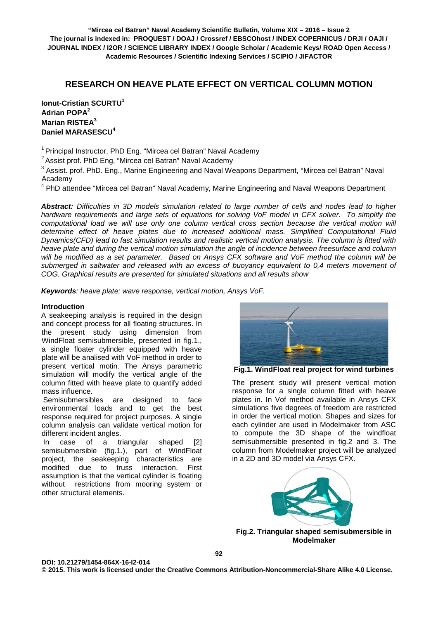# **RESEARCH ON HEAVE PLATE EFFECT ON VERTICAL COLUMN MOTION**

**Ionut-Cristian SCURTU<sup>1</sup> Adrian POPA2 Marian RISTEA3 Daniel MARASESCU<sup>4</sup>**

<sup>1</sup> Principal Instructor, PhD Eng. "Mircea cel Batran" Naval Academy

 $2$  Assist prof. PhD Eng. "Mircea cel Batran" Naval Academy

<sup>3</sup> Assist. prof. PhD. Eng., Marine Engineering and Naval Weapons Department, "Mircea cel Batran" Naval Academy

<sup>4</sup> PhD attendee "Mircea cel Batran" Naval Academy, Marine Engineering and Naval Weapons Department

*Abstract: Difficulties in 3D models simulation related to large number of cells and nodes lead to higher hardware requirements and large sets of equations for solving VoF model in CFX solver. To simplify the computational load we will use only one column vertical cross section because the vertical motion will determine effect of heave plates due to increased additional mass. Simplified Computational Fluid Dynamics(CFD) lead to fast simulation results and realistic vertical motion analysis. The column is fitted with heave plate and during the vertical motion simulation the angle of incidence between freesurface and column will be modified as a set parameter. Based on Ansys CFX software and VoF method the column will be submerged in saltwater and released with an excess of buoyancy equivalent to 0,4 meters movement of COG. Graphical results are presented for simulated situations and all results show* 

*Keywords: heave plate; wave response, vertical motion, Ansys VoF.*

## **Introduction**

A seakeeping analysis is required in the design and concept process for all floating structures. In the present study using dimension from WindFloat semisubmersible, presented in fig.1., a single floater cylinder equipped with heave plate will be analised with VoF method in order to present vertical motin. The Ansys parametric simulation will modify the vertical angle of the column fitted with heave plate to quantify added mass influence.

Semisubmersibles are designed to face environmental loads and to get the best response required for project purposes. A single column analysis can validate vertical motion for different incident angles.

In case of a triangular shaped [2] semisubmersible (fig.1.), part of WindFloat project, the seakeeping characteristics are modified due to truss interaction. First assumption is that the vertical cylinder is floating without restrictions from mooring system or other structural elements.



**Fig.1. WindFloat real project for wind turbines**

The present study will present vertical motion response for a single column fitted with heave plates in. In Vof method available in Ansys CFX simulations five degrees of freedom are restricted in order the vertical motion. Shapes and sizes for each cylinder are used in Modelmaker from ASC to compute the 3D shape of the windfloat semisubmersible presented in fig.2 and 3. The column from Modelmaker project will be analyzed in a 2D and 3D model via Ansys CFX.



**Fig.2. Triangular shaped semisubmersible in Modelmaker**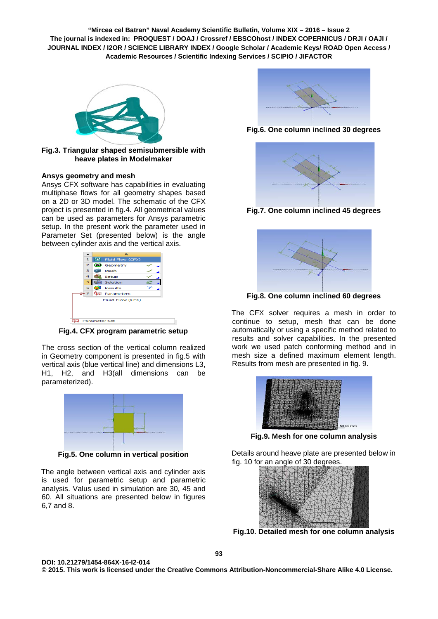

**Fig.3. Triangular shaped semisubmersible with heave plates in Modelmaker**

## **Ansys geometry and mesh**

Ansys CFX software has capabilities in evaluating multiphase flows for all geometry shapes based on a 2D or 3D model. The schematic of the CFX project is presented in fig.4. All geometrical values can be used as parameters for Ansys parametric setup. In the present work the parameter used in Parameter Set (presented below) is the angle between cylinder axis and the vertical axis.



**Fig.4. CFX program parametric setup**

The cross section of the vertical column realized in Geometry component is presented in fig.5 with vertical axis (blue vertical line) and dimensions L3, H1, H2, and H3(all dimensions can be parameterized).



**Fig.5. One column in vertical position**

The angle between vertical axis and cylinder axis is used for parametric setup and parametric analysis. Valus used in simulation are 30, 45 and 60. All situations are presented below in figures 6,7 and 8.



**Fig.6. One column inclined 30 degrees**



**Fig.7. One column inclined 45 degrees** 



**Fig.8. One column inclined 60 degrees**

The CFX solver requires a mesh in order to continue to setup, mesh that can be done automatically or using a specific method related to results and solver capabilities. In the presented work we used patch conforming method and in mesh size a defined maximum element length. Results from mesh are presented in fig. 9.



**Fig.9. Mesh for one column analysis** 

Details around heave plate are presented below in fig. 10 for an angle of 30 degrees.



**Fig.10. Detailed mesh for one column analysis**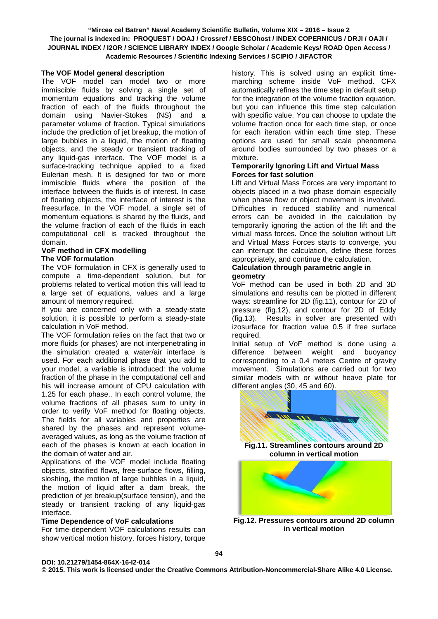## **The VOF Model general description**

The VOF model can model two or more immiscible fluids by solving a single set of momentum equations and tracking the volume fraction of each of the fluids throughout the domain using Navier-Stokes (NS) and a parameter volume of fraction. Typical simulations include the prediction of jet breakup, the motion of large bubbles in a liquid, the motion of floating objects, and the steady or transient tracking of any liquid-gas interface. The VOF model is a surface-tracking technique applied to a fixed Eulerian mesh. It is designed for two or more immiscible fluids where the position of the interface between the fluids is of interest. In case of floating objects, the interface of interest is the freesurface. In the VOF model, a single set of momentum equations is shared by the fluids, and the volume fraction of each of the fluids in each computational cell is tracked throughout the domain.

#### **VoF method in CFX modelling The VOF formulation**

The VOF formulation in CFX is generally used to compute a time-dependent solution, but for problems related to vertical motion this will lead to a large set of equations, values and a large amount of memory required.

If you are concerned only with a steady-state solution, it is possible to perform a steady-state calculation in VoF method.

The VOF formulation relies on the fact that two or more fluids (or phases) are not interpenetrating in the simulation created a water/air interface is used. For each additional phase that you add to your model, a variable is introduced: the volume fraction of the phase in the computational cell and his will increase amount of CPU calculation with 1.25 for each phase.. In each control volume, the volume fractions of all phases sum to unity in order to verify VoF method for floating objects. The fields for all variables and properties are shared by the phases and represent volumeaveraged values, as long as the volume fraction of each of the phases is known at each location in the domain of water and air.

Applications of the VOF model include floating objects, stratified flows, free-surface flows, filling, sloshing, the motion of large bubbles in a liquid, the motion of liquid after a dam break, the prediction of jet breakup(surface tension), and the steady or transient tracking of any liquid-gas interface.

## **Time Dependence of VoF calculations**

For time-dependent VOF calculations results can show vertical motion history, forces history, torque

history. This is solved using an explicit timemarching scheme inside VoF method. CFX automatically refines the time step in default setup for the integration of the volume fraction equation, but you can influence this time step calculation with specific value. You can choose to update the volume fraction once for each time step, or once for each iteration within each time step. These options are used for small scale phenomena around bodies surrounded by two phases or a mixture.

#### **Temporarily Ignoring Lift and Virtual Mass Forces for fast solution**

Lift and Virtual Mass Forces are very important to objects placed in a two phase domain especially when phase flow or object movement is involved. Difficulties in reduced stability and numerical errors can be avoided in the calculation by temporarily ignoring the action of the lift and the virtual mass forces. Once the solution without Lift and Virtual Mass Forces starts to converge, you can interrupt the calculation, define these forces appropriately, and continue the calculation.

## **Calculation through parametric angle in geometry**

VoF method can be used in both 2D and 3D simulations and results can be plotted in different ways: streamline for 2D (fig.11), contour for 2D of pressure (fig.12), and contour for 2D of Eddy (fig.13). Results in solver are presented with izosurface for fraction value 0.5 if free surface required.

Initial setup of VoF method is done using a difference between weight and buoyancy corresponding to a 0.4 meters Centre of gravity movement. Simulations are carried out for two similar models with or without heave plate for different angles (30, 45 and 60).



**Fig.12. Pressures contours around 2D column in vertical motion**

## **DOI: 10.21279/1454-864X-16-I2-014**

**© 2015. This work is licensed under the Creative Commons Attribution-Noncommercial-Share Alike 4.0 License.**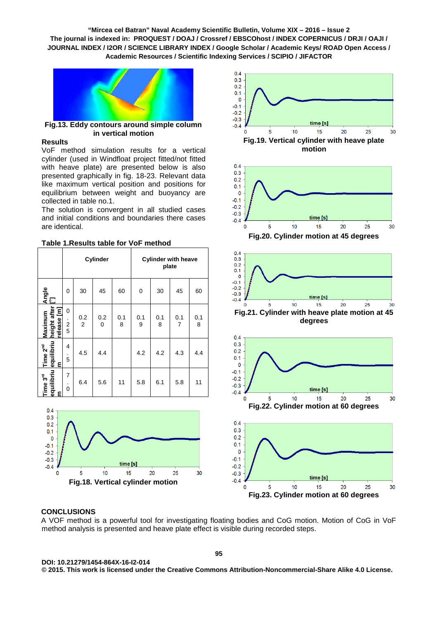

**Fig.13. Eddy contours around simple column in vertical motion**

## **Results**

VoF method simulation results for a vertical cylinder (used in Windfloat project fitted/not fitted with heave plate) are presented below is also presented graphically in fig. 18-23. Relevant data like maximum vertical position and positions for equilibrium between weight and buoyancy are collected in table no.1.

The solution is convergent in all studied cases and initial conditions and boundaries there cases are identical.

|                                         | Cylinder                 |                       |          |          | <b>Cylinder with heave</b><br>plate |          |                       |          |
|-----------------------------------------|--------------------------|-----------------------|----------|----------|-------------------------------------|----------|-----------------------|----------|
| Angle<br>[]                             | 0                        | 30                    | 45       | 60       | 0                                   | 30       | 45                    | 60       |
| height after<br>release [m]<br>Maximum  | 0<br>$\frac{2}{5}$       | 0.2<br>$\overline{2}$ | 0.2<br>0 | 0.1<br>8 | 0.1<br>9                            | 0.1<br>8 | 0.1<br>$\overline{7}$ | 0.1<br>8 |
| equilibriu<br>Time 2 <sup>nd</sup><br>티 | 4<br>$\blacksquare$<br>5 | 4.5                   | 4.4      |          | 4.2                                 | 4.2      | 4.3                   | 4.4      |
| equilibriu<br>Time 3 <sup>rd</sup><br>٤ | 7<br>$\Omega$            | 6.4                   | 5.6      | 11       | 5.8                                 | 6.1      | 5.8                   | 11       |

## **Table 1.Results table for VoF method**





time [s] 5  $10$ 15 20 25  $30$ **Fig.23. Cylinder motion at 60 degrees**

## **CONCLUSIONS**

A VOF method is a powerful tool for investigating floating bodies and CoG motion. Motion of CoG in VoF method analysis is presented and heave plate effect is visible during recorded steps.

 $-0.3$ 

 $-0.4$  $\mathbf 0$ 

**DOI: 10.21279/1454-864X-16-I2-014 © 2015. This work is licensed under the Creative Commons Attribution-Noncommercial-Share Alike 4.0 License.**

**95**